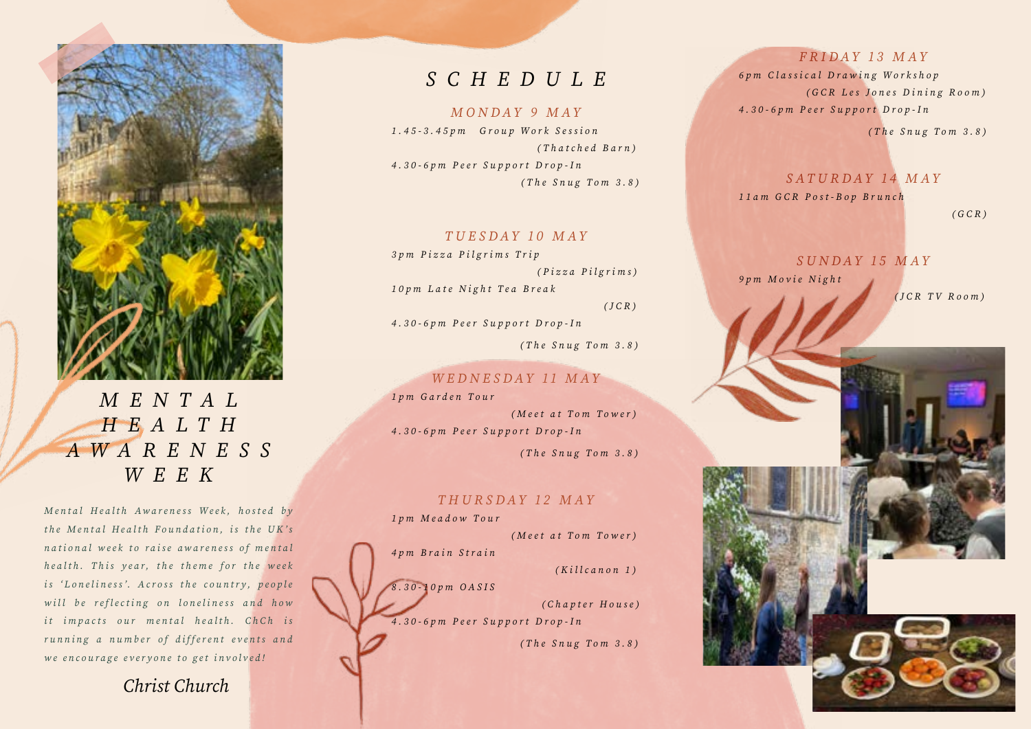

*M E N T A L H E A L T H A W A R E N E S S WEEK*

*Mental Health Awareness Week, hosted by the Mental Health Foundation, is the UK's national week to raise awareness of mental health. This year, the theme for the week is 'Loneliness'. Across the country, people will be reflecting on loneliness and how it impacts our mental health. ChCh is running a number of different events and we encourage everyone to get involved!*

*Christ Church*

# *SCHEDULE*

#### *MONDAY 9 MAY*

*1.45-3.45pm Group Work Session ( T h a t c h e d B a r n ) 4 . 3 0 - 6 p m P e e r S u p p o r t D r o p - I n (The Snug Tom 3.8)*

#### *TUESDAY 10 MAY*

*3pm Pizza Pilgrims Trip ( P i z z a P i l g r i m s ) 10pm Late Night Tea Break (JCR)*

*4.30-6pm Peer Support Drop-In (The Snug Tom 3.8)*

### *WEDNESDAY 11 MAY*

*1pm Garden Tour (Meet at Tom Tower) 4.30-6pm Peer Support Drop-In (The Snug Tom 3.8)*

#### *THURSDAY 12 MAY*

*1pm Meadow Tour (Meet at Tom Tower) 4pm Brain Strain (Killcanon 1) 8.30-10pm OASIS ( C h a p t e r H o u s e ) 4.30-6pm Peer Support Drop-In* 

 *(The Snug Tom 3.8)*

#### *FRIDAY 13 MAY*

*6pm Classical Drawing Workshop (GCR Les Jones Dining Room) 4.30-6pm Peer Support Drop-In* 

 *(The Snug Tom 3.8)*

#### *SATURDAY 14 MAY*

*11am GCR Post-Bop Brunch* 

 *(GCR)*

# *SUNDAY 15 MAY*

*9pm Movie Night* 

 *(JCR TV Room)*